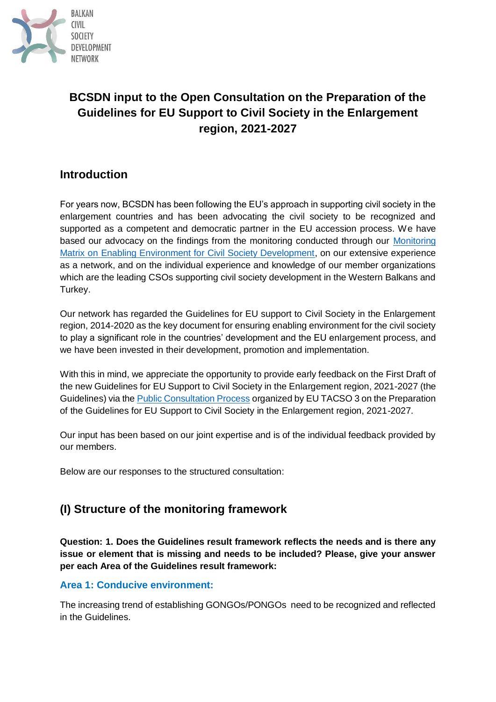

# **BCSDN input to the Open Consultation on the Preparation of the Guidelines for EU Support to Civil Society in the Enlargement region, 2021-2027**

## **Introduction**

For years now, BCSDN has been following the EU's approach in supporting civil society in the enlargement countries and has been advocating the civil society to be recognized and supported as a competent and democratic partner in the EU accession process. We have based our advocacy on the findings from the monitoring conducted through our Monitoring [Matrix on Enabling Environment for Civil Society Development,](https://monitoringmatrix.net/) on our extensive experience as a network, and on the individual experience and knowledge of our member organizations which are the leading CSOs supporting civil society development in the Western Balkans and Turkey.

Our network has regarded the Guidelines for EU support to Civil Society in the Enlargement region, 2014-2020 as the key document for ensuring enabling environment for the civil society to play a significant role in the countries' development and the EU enlargement process, and we have been invested in their development, promotion and implementation.

With this in mind, we appreciate the opportunity to provide early feedback on the First Draft of the new Guidelines for EU Support to Civil Society in the Enlargement region, 2021-2027 (the Guidelines) via the [Public Consultation Process](http://tacso.eu/open-call-to-csos-consultation-on-the-preparation-of-the-guidelines-for-eu-support-to-civil-society-in-the-enlargement-region-2021-2027/) organized by EU TACSO 3 on the Preparation of the Guidelines for EU Support to Civil Society in the Enlargement region, 2021-2027.

Our input has been based on our joint expertise and is of the individual feedback provided by our members.

Below are our responses to the structured consultation:

## **(I) Structure of the monitoring framework**

**Question: 1. Does the Guidelines result framework reflects the needs and is there any issue or element that is missing and needs to be included? Please, give your answer per each Area of the Guidelines result framework:**

#### **Area 1: Conducive environment:**

The increasing trend of establishing GONGOs/PONGOs need to be recognized and reflected in the Guidelines.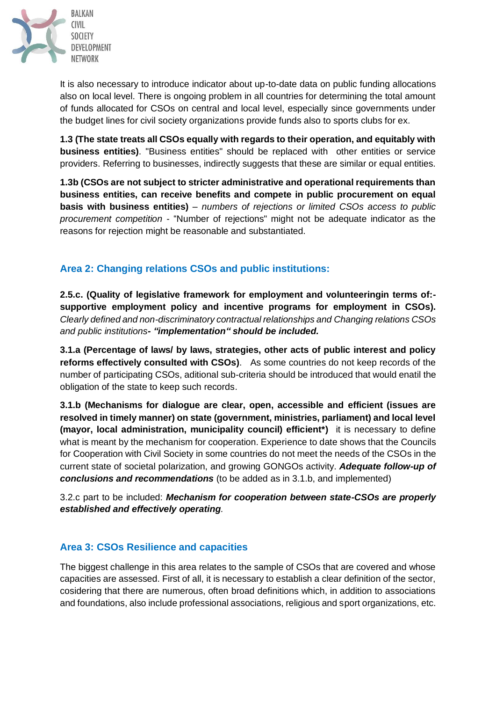

It is also necessary to introduce indicator about up-to-date data on public funding allocations also on local level. There is ongoing problem in all countries for determining the total amount of funds allocated for CSOs on central and local level, especially since governments under the budget lines for civil society organizations provide funds also to sports clubs for ex.

**1.3 (The state treats all CSOs equally with regards to their operation, and equitably with business entities)**. "Business entities" should be replaced with other entities or service providers. Referring to businesses, indirectly suggests that these are similar or equal entities.

**1.3b (CSOs are not subject to stricter administrative and operational requirements than business entities, can receive benefits and compete in public procurement on equal basis with business entities)** *– numbers of rejections or limited CSOs access to public procurement competition* - "Number of rejections" might not be adequate indicator as the reasons for rejection might be reasonable and substantiated.

### **Area 2: Changing relations CSOs and public institutions:**

**2.5.c. (Quality of legislative framework for employment and volunteeringin terms of: supportive employment policy and incentive programs for employment in CSOs).** *Clearly defined and non-discriminatory contractual relationships and Changing relations CSOs and public institutions- "implementation" should be included.*

**3.1.a (Percentage of laws/ by laws, strategies, other acts of public interest and policy reforms effectively consulted with CSOs)**. As some countries do not keep records of the number of participating CSOs, aditional sub-criteria should be introduced that would enatil the obligation of the state to keep such records.

**3.1.b (Mechanisms for dialogue are clear, open, accessible and efficient (issues are resolved in timely manner) on state (government, ministries, parliament) and local level (mayor, local administration, municipality council) efficient\*)** it is necessary to define what is meant by the mechanism for cooperation. Experience to date shows that the Councils for Cooperation with Civil Society in some countries do not meet the needs of the CSOs in the current state of societal polarization, and growing GONGOs activity. *Adequate follow-up of conclusions and recommendations* (to be added as in 3.1.b, and implemented)

3.2.c part to be included: *Mechanism for cooperation between state-CSOs are properly established and effectively operating.*

### **Area 3: CSOs Resilience and capacities**

The biggest challenge in this area relates to the sample of CSOs that are covered and whose capacities are assessed. First of all, it is necessary to establish a clear definition of the sector, cosidering that there are numerous, often broad definitions which, in addition to associations and foundations, also include professional associations, religious and sport organizations, etc.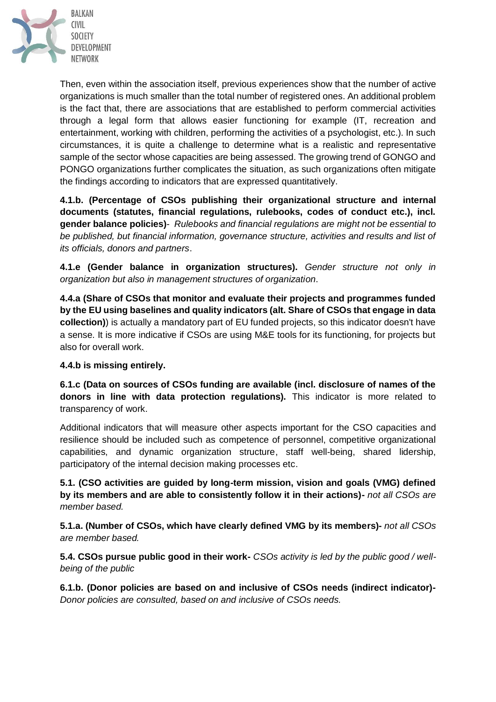

Then, even within the association itself, previous experiences show that the number of active organizations is much smaller than the total number of registered ones. An additional problem is the fact that, there are associations that are established to perform commercial activities through a legal form that allows easier functioning for example (IT, recreation and entertainment, working with children, performing the activities of a psychologist, etc.). In such circumstances, it is quite a challenge to determine what is a realistic and representative sample of the sector whose capacities are being assessed. The growing trend of GONGO and PONGO organizations further complicates the situation, as such organizations often mitigate the findings according to indicators that are expressed quantitatively.

**4.1.b. (Percentage of CSOs publishing their organizational structure and internal documents (statutes, financial regulations, rulebooks, codes of conduct etc.), incl. gender balance policies)**- *Rulebooks and financial regulations are might not be essential to be published, but financial information, governance structure, activities and results and list of its officials, donors and partners*.

**4.1.e (Gender balance in organization structures).** *Gender structure not only in organization but also in management structures of organization*.

**4.4.a (Share of CSOs that monitor and evaluate their projects and programmes funded by the EU using baselines and quality indicators (alt. Share of CSOs that engage in data collection)**) is actually a mandatory part of EU funded projects, so this indicator doesn't have a sense. It is more indicative if CSOs are using M&E tools for its functioning, for projects but also for overall work.

#### **4.4.b is missing entirely.**

**6.1.c (Data on sources of CSOs funding are available (incl. disclosure of names of the donors in line with data protection regulations).** This indicator is more related to transparency of work.

Additional indicators that will measure other aspects important for the CSO capacities and resilience should be included such as competence of personnel, competitive organizational capabilities, and dynamic organization structure, staff well-being, shared lidership, participatory of the internal decision making processes etc.

**5.1. (CSO activities are guided by long-term mission, vision and goals (VMG) defined by its members and are able to consistently follow it in their actions)-** *not all CSOs are member based.*

**5.1.a. (Number of CSOs, which have clearly defined VMG by its members)-** *not all CSOs are member based.*

**5.4. CSOs pursue public good in their work-** *CSOs activity is led by the public good / wellbeing of the public*

**6.1.b. (Donor policies are based on and inclusive of CSOs needs (indirect indicator)-** *Donor policies are consulted, based on and inclusive of CSOs needs.*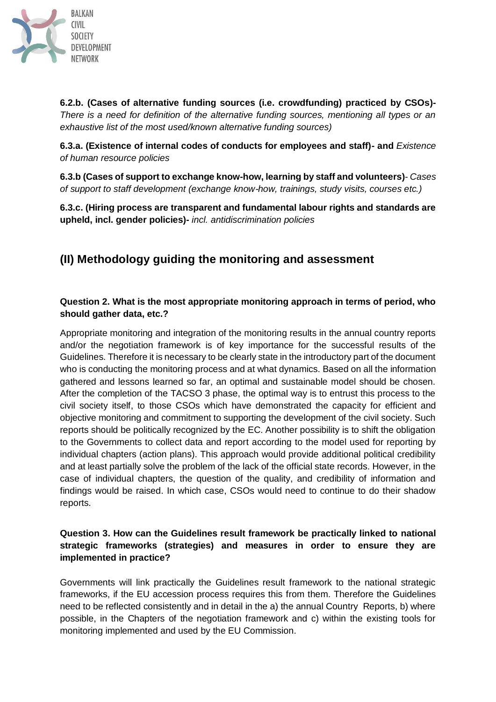

**6.2.b. (Cases of alternative funding sources (i.e. crowdfunding) practiced by CSOs)-** *There is a need for definition of the alternative funding sources, mentioning all types or an exhaustive list of the most used/known alternative funding sources)*

**6.3.a. (Existence of internal codes of conducts for employees and staff)- and** *Existence of human resource policies*

**6.3.b (Cases of support to exchange know-how, learning by staff and volunteers)***- Cases of support to staff development (exchange know-how, trainings, study visits, courses etc.)*

**6.3.c. (Hiring process are transparent and fundamental labour rights and standards are upheld, incl. gender policies)-** *incl. antidiscrimination policies*

# **(II) Methodology guiding the monitoring and assessment**

### **Question 2. What is the most appropriate monitoring approach in terms of period, who should gather data, etc.?**

Appropriate monitoring and integration of the monitoring results in the annual country reports and/or the negotiation framework is of key importance for the successful results of the Guidelines. Therefore it is necessary to be clearly state in the introductory part of the document who is conducting the monitoring process and at what dynamics. Based on all the information gathered and lessons learned so far, an optimal and sustainable model should be chosen. After the completion of the TACSO 3 phase, the optimal way is to entrust this process to the civil society itself, to those CSOs which have demonstrated the capacity for efficient and objective monitoring and commitment to supporting the development of the civil society. Such reports should be politically recognized by the EC. Another possibility is to shift the obligation to the Governments to collect data and report according to the model used for reporting by individual chapters (action plans). This approach would provide additional political credibility and at least partially solve the problem of the lack of the official state records. However, in the case of individual chapters, the question of the quality, and credibility of information and findings would be raised. In which case, CSOs would need to continue to do their shadow reports.

### **Question 3. How can the Guidelines result framework be practically linked to national strategic frameworks (strategies) and measures in order to ensure they are implemented in practice?**

Governments will link practically the Guidelines result framework to the national strategic frameworks, if the EU accession process requires this from them. Therefore the Guidelines need to be reflected consistently and in detail in the a) the annual Country Reports, b) where possible, in the Chapters of the negotiation framework and c) within the existing tools for monitoring implemented and used by the EU Commission.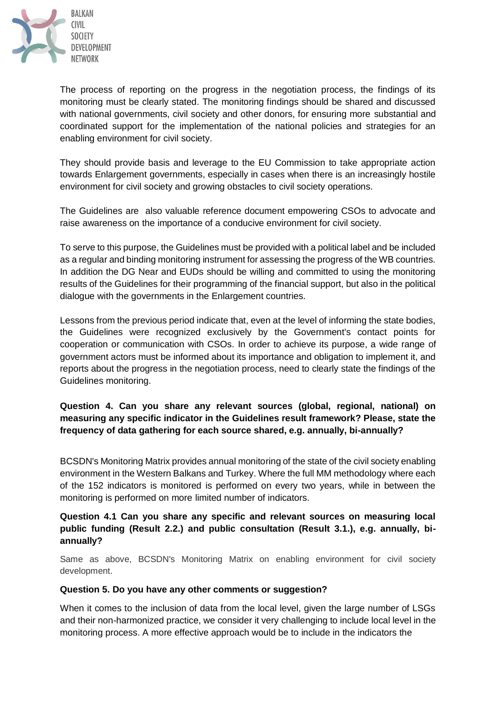

The process of reporting on the progress in the negotiation process, the findings of its monitoring must be clearly stated. The monitoring findings should be shared and discussed with national governments, civil society and other donors, for ensuring more substantial and coordinated support for the implementation of the national policies and strategies for an enabling environment for civil society.

They should provide basis and leverage to the EU Commission to take appropriate action towards Enlargement governments, especially in cases when there is an increasingly hostile environment for civil society and growing obstacles to civil society operations.

The Guidelines are also valuable reference document empowering CSOs to advocate and raise awareness on the importance of a conducive environment for civil society.

To serve to this purpose, the Guidelines must be provided with a political label and be included as a regular and binding monitoring instrument for assessing the progress of the WB countries. In addition the DG Near and EUDs should be willing and committed to using the monitoring results of the Guidelines for their programming of the financial support, but also in the political dialogue with the governments in the Enlargement countries.

Lessons from the previous period indicate that, even at the level of informing the state bodies, the Guidelines were recognized exclusively by the Government's contact points for cooperation or communication with CSOs. In order to achieve its purpose, a wide range of government actors must be informed about its importance and obligation to implement it, and reports about the progress in the negotiation process, need to clearly state the findings of the Guidelines monitoring.

### **Question 4. Can you share any relevant sources (global, regional, national) on measuring any specific indicator in the Guidelines result framework? Please, state the frequency of data gathering for each source shared, e.g. annually, bi-annually?**

BCSDN's Monitoring Matrix provides annual monitoring of the state of the civil society enabling environment in the Western Balkans and Turkey. Where the full MM methodology where each of the 152 indicators is monitored is performed on every two years, while in between the monitoring is performed on more limited number of indicators.

### **Question 4.1 Can you share any specific and relevant sources on measuring local public funding (Result 2.2.) and public consultation (Result 3.1.), e.g. annually, biannually?**

Same as above, BCSDN's Monitoring Matrix on enabling environment for civil society development.

#### **Question 5. Do you have any other comments or suggestion?**

When it comes to the inclusion of data from the local level, given the large number of LSGs and their non-harmonized practice, we consider it very challenging to include local level in the monitoring process. A more effective approach would be to include in the indicators the